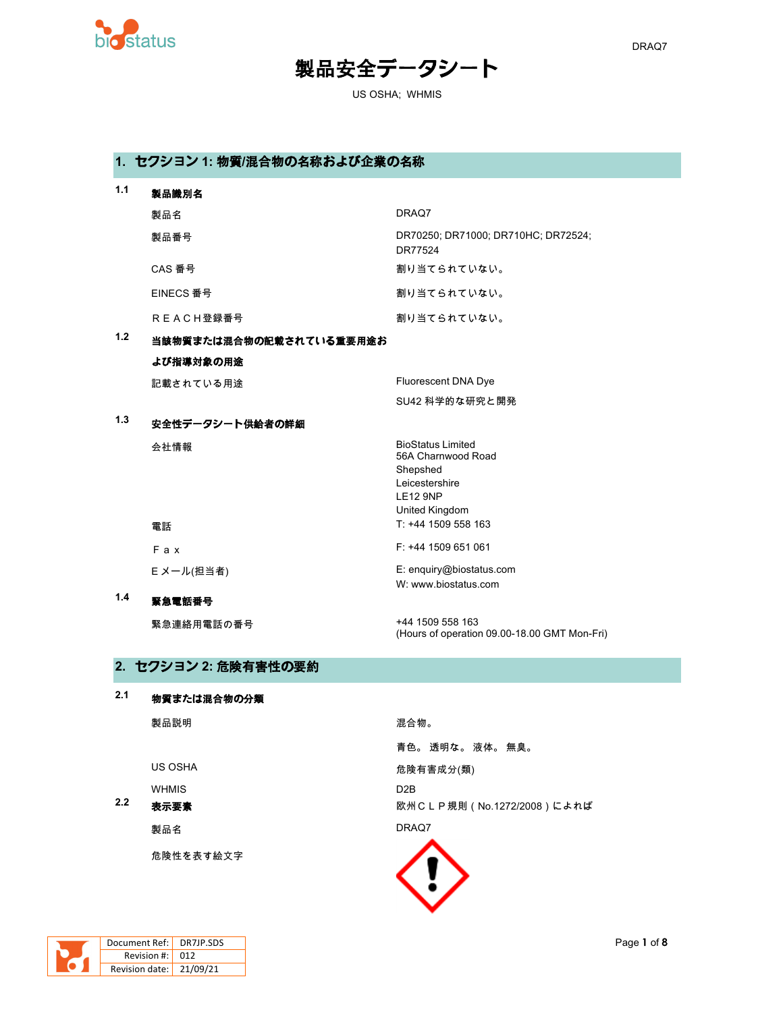

### $DRAQ7$

# 製品安全データシート

US OSHA; WHMIS

## **1.** セクション **1:** 物質**/**混合物の名称および企業の名称

| 1.1 | 製品識別名                   |                                                                                                                   |
|-----|-------------------------|-------------------------------------------------------------------------------------------------------------------|
|     | 製品名                     | DRAQ7                                                                                                             |
|     | 製品番号                    | DR70250; DR71000; DR710HC; DR72524;<br>DR77524                                                                    |
|     | CAS 番号                  | 割り当てられていない。                                                                                                       |
|     | EINECS 番号               | 割り当てられていない。                                                                                                       |
|     | <b>REACH登録番号</b>        | 割り当てられていない。                                                                                                       |
| 1.2 | 当該物質または混合物の記載されている重要用途お |                                                                                                                   |
|     | よび指導対象の用途               |                                                                                                                   |
|     | 記載されている用途               | Fluorescent DNA Dye                                                                                               |
|     |                         | SU42 科学的な研究と開発                                                                                                    |
| 1.3 | 安全性データシート供給者の詳細         |                                                                                                                   |
|     | 会社情報                    | <b>BioStatus Limited</b><br>56A Charnwood Road<br>Shepshed<br>Leicestershire<br><b>LE12 9NP</b><br>United Kingdom |
|     | 電話                      | T: +44 1509 558 163                                                                                               |
|     | F a x                   | F: +44 1509 651 061                                                                                               |
|     | E メール(担当者)              | E: enquiry@biostatus.com<br>W: www.biostatus.com                                                                  |
| 1.4 | 緊急電話番号                  |                                                                                                                   |
|     | 緊急連絡用電話の番号              | +44 1509 558 163<br>(Hours of operation 09.00-18.00 GMT Mon-Fri)                                                  |

### **2.** セクション **2:** 危険有害性の要約

### **2.1** 物質または混合物の分類

|     | 製品説明         | 混合物。                       |
|-----|--------------|----------------------------|
|     |              | 青色。 透明な。 液体。 無臭。           |
|     | US OSHA      | 危険有害成分(類)                  |
|     | <b>WHMIS</b> | D <sub>2</sub> B           |
| 2.2 | 表示要素         | 欧州CLP規則 (No.1272/2008)によれば |
|     | 製品名          | DRAQ7                      |
|     | 危険性を表す絵文字    |                            |

**EXTEND** 

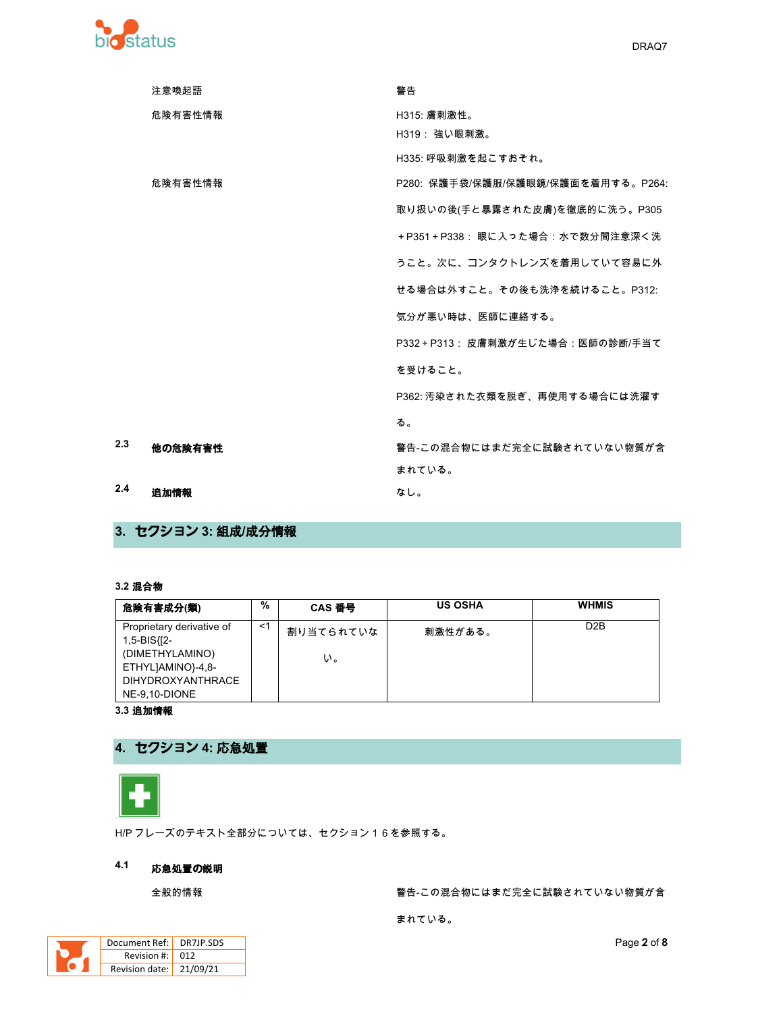

|     | 注意喚起語   | 警告                                 |
|-----|---------|------------------------------------|
|     | 危険有害性情報 | H315: 膚刺激性。                        |
|     |         | H319: 強い眼刺激。                       |
|     |         | H335: 呼吸刺激を起こすおそれ。                 |
|     | 危険有害性情報 | P280: 保護手袋/保護服/保護眼鏡/保護面を着用する。P264: |
|     |         | 取り扱いの後(手と暴露された皮膚)を徹底的に洗う。P305      |
|     |         | +P351+P338: 眼に入った場合:水で数分間注意深く洗     |
|     |         | うこと。次に、コンタクトレンズを着用していて容易に外         |
|     |         | せる場合は外すこと。その後も洗浄を続けること。P312:       |
|     |         | 気分が悪い時は、医師に連絡する。                   |
|     |         | P332+P313: 皮膚刺激が生じた場合:医師の診断/手当て    |
|     |         | を受けること。                            |
|     |         | P362: 汚染された衣類を脱ぎ、再使用する場合には洗濯す      |
|     |         | る。                                 |
| 2.3 | 他の危険有害性 | 警告-この混合物にはまだ完全に試験されていない物質が含        |
|     |         | まれている。                             |
| 2.4 | 追加情報    | なし。                                |

3. セクション 3: 組成/成分情報

### 3.2 混合物

| 危険有害成分(類)                                                                                                                     | %     | CAS 番号          | <b>US OSHA</b> | <b>WHMIS</b>     |
|-------------------------------------------------------------------------------------------------------------------------------|-------|-----------------|----------------|------------------|
| Proprietary derivative of<br>1,5-BIS{[2-<br>(DIMETHYLAMINO)<br>ETHYLJAMINO}-4,8-<br><b>DIHYDROXYANTHRACE</b><br>NE-9.10-DIONE | $<$ 1 | 割り当てられていな<br>い。 | 刺激性がある。        | D <sub>2</sub> B |

3.3 追加情報

# 4. セクション 4: 応急処置



H/P フレーズのテキスト全部分については、セクション16を参照する。

#### $4.1$ 応急処置の説明

全般的情報

警告-この混合物にはまだ完全に試験されていない物質が含

まれている。

| Document Ref:   DR7JP.SDS           |  |
|-------------------------------------|--|
| Revision #: L                       |  |
| Revision date: $\frac{1}{21/09/21}$ |  |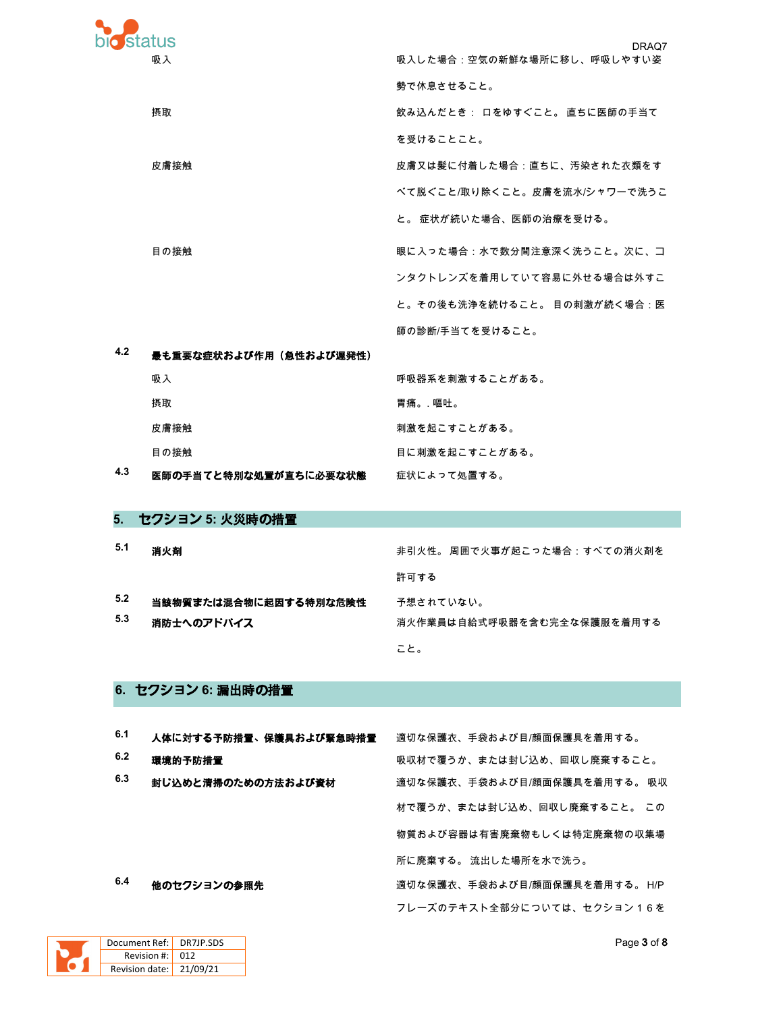| <b>bio</b> status |                        |                                     |
|-------------------|------------------------|-------------------------------------|
| 吸入                |                        | DRAQ7<br>吸入した場合:空気の新鮮な場所に移し、呼吸しやすい姿 |
|                   |                        | 勢で休息させること。                          |
| 摂取                |                        | 飲み込んだとき: 口をゆすぐこと。 直ちに医師の手当て         |
|                   |                        | を受けることこと。                           |
| 皮膚接触              |                        | 皮膚又は髪に付着した場合:直ちに、汚染された衣類をす          |
|                   |                        | べて脱ぐこと/取り除くこと。皮膚を流水/シャワーで洗うこ        |
|                   |                        | と。 症状が続いた場合、医師の治療を受ける。              |
| 目の接触              |                        | 眼に入った場合:水で数分間注意深く洗うこと。次に、コ          |
|                   |                        | ンタクトレンズを着用していて容易に外せる場合は外すこ          |
|                   |                        | と。その後も洗浄を続けること。 目の刺激が続く場合:医         |
|                   |                        | 師の診断/手当てを受けること。                     |
| 4.2               | 最も重要な症状および作用(急性および遅発性) |                                     |

| 吸入                    | 呼吸器系を刺激することがある。 |
|-----------------------|-----------------|
| 摂取                    | 胃痛。. 嘔吐。        |
| 皮膚接触                  | 刺激を起こすことがある。    |
| 目の接触                  | 目に刺激を起こすことがある。  |
| 医師の手当てと特別な処置が直ちに必要な状態 | 症状によって処置する。     |

# 5. セクション 5: 火災時の措置

 $4.3$ 

| 5.1        | 消火剤                                 | 非引火性。 周囲で火事が起こった場合:すべての消火剤を             |
|------------|-------------------------------------|-----------------------------------------|
|            |                                     | 許可する                                    |
| 5.2<br>5.3 | 当該物質または混合物に起因する特別な危険性<br>消防士へのアドバイス | 予想されていない。<br>消火作業員は自給式呼吸器を含む完全な保護服を着用する |
|            |                                     | こと。                                     |

### 6. セクション 6: 漏出時の措置

| 6.1 | 人体に対する予防措置、保護具および緊急時措置 | 適切な保護衣、手袋および目/顔面保護具を着用する。     |
|-----|------------------------|-------------------------------|
| 6.2 | 環境的予防措置                | 吸収材で覆うか、または封じ込め、回収し廃棄すること。    |
| 6.3 | 封じ込めと清掃のための方法および資材     | 適切な保護衣、手袋および目/顔面保護具を着用する。 吸収  |
|     |                        | 材で覆うか、または封じ込め、回収し廃棄すること。 この   |
|     |                        | 物質および容器は有害廃棄物もしくは特定廃棄物の収集場    |
|     |                        | 所に廃棄する。 流出した場所を水で洗う。          |
| 6.4 | 他のセクションの参照先            | 適切な保護衣、手袋および目/顔面保護具を着用する。 H/P |
|     |                        | フレーズのテキスト全部分については、セクション16を    |

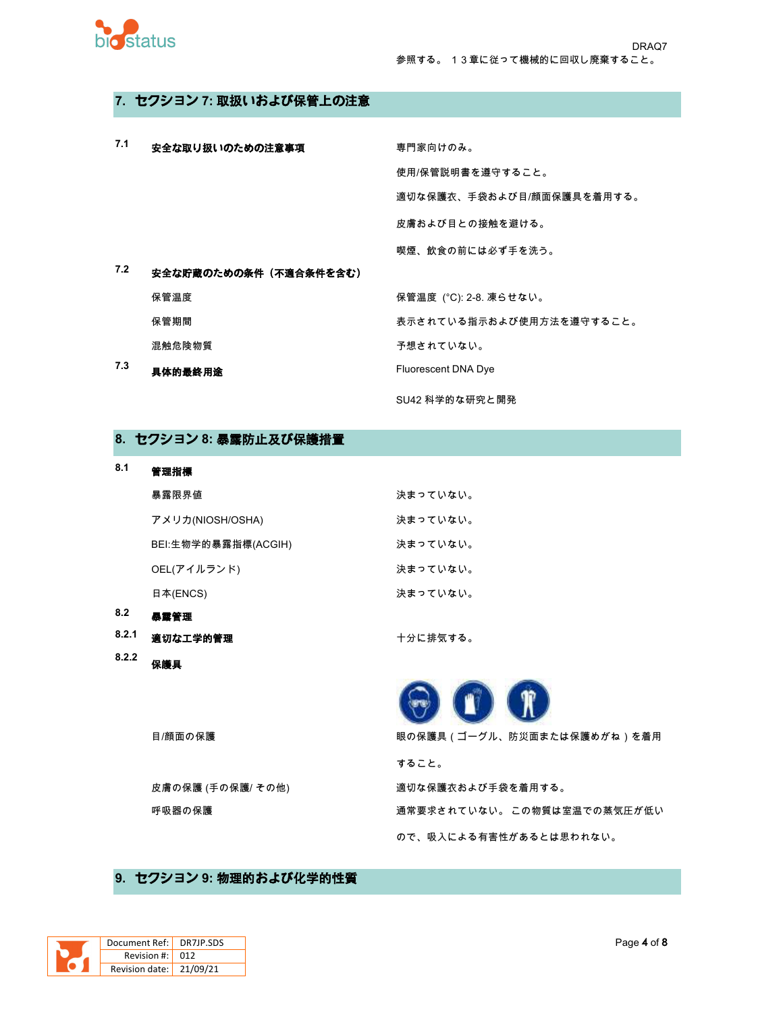

### 7. セクション 7: 取扱いおよび保管上の注意

| 7.1 | 安全な取り扱いのための注意事項       | 専門家向けのみ。                  |
|-----|-----------------------|---------------------------|
|     |                       | 使用/保管説明書を遵守すること。          |
|     |                       | 適切な保護衣、手袋および目/顔面保護具を着用する。 |
|     |                       | 皮膚および目との接触を避ける。           |
|     |                       | 喫煙、飲食の前には必ず手を洗う。          |
| 7.2 | 安全な貯蔵のための条件(不適合条件を含む) |                           |
|     | 保管温度                  | 保管温度 (°C): 2-8. 凍らせない。    |
|     | 保管期間                  | 表示されている指示および使用方法を遵守すること。  |
|     | 混触危険物質                | 予想されていない。                 |
| 7.3 | 具体的最終用途               | Fluorescent DNA Dye       |
|     |                       | SU42 科学的な研究と開発            |

### 8. セクション 8: 暴露防止及び保護措置

| 8.1   | 管理指標                |          |
|-------|---------------------|----------|
|       | 暴露限界値               | 決まっていない。 |
|       | アメリカ(NIOSH/OSHA)    | 決まっていない。 |
|       | BEI:生物学的暴露指標(ACGIH) | 決まっていない。 |
|       | OEL(アイルランド)         | 決まっていない。 |
|       | 日本(ENCS)            | 決まっていない。 |
| 8.2   | 暴露管理                |          |
| 8.2.1 | 適切な工学的管理            | 十分に排気する。 |

8.2.2<br>保護具  $\mathbf{D}$  $\mathbf{R}$ 目/顔面の保護 眼の保護具(ゴーグル、防災面または保護めがね)を着用 すること。 皮膚の保護 (手の保護/ その他) 適切な保護衣および手袋を着用する。 呼吸器の保護 通常要求されていない。この物質は室温での蒸気圧が低い ので、吸入による有害性があるとは思われない。

### 9. セクション 9: 物理的および化学的性質

| Document Ref: DR7JP.SDS |                 |
|-------------------------|-----------------|
| Revision #: L           | 01 <sub>2</sub> |
| Revision date: 21/09/21 |                 |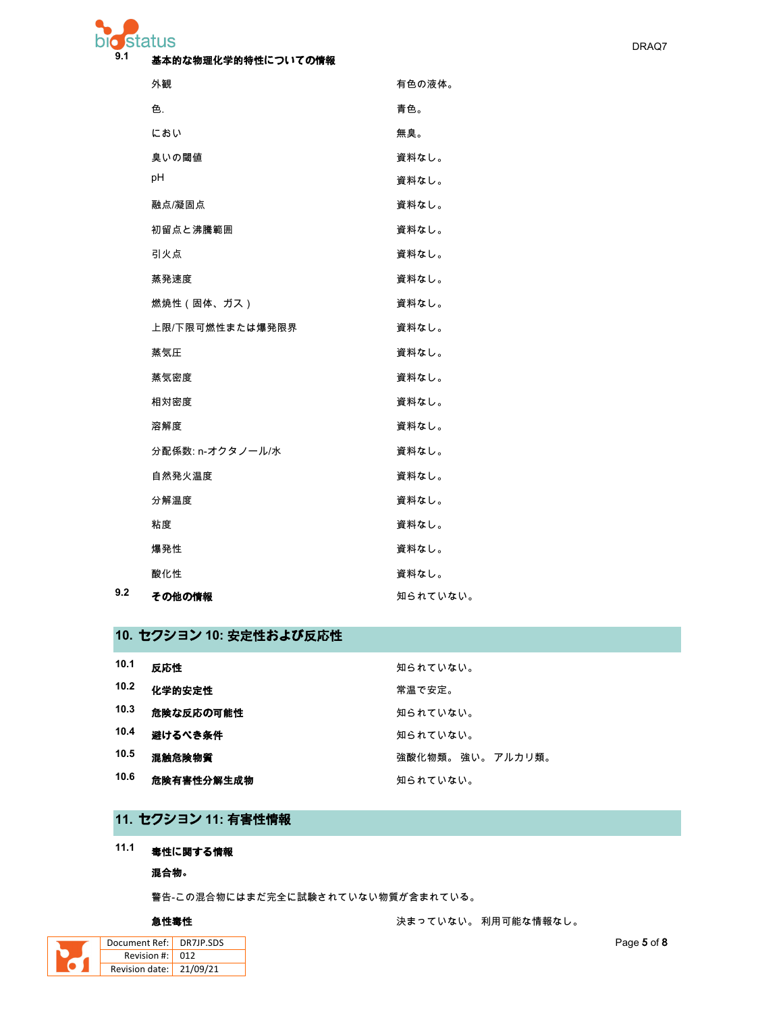#### $9.1$ 基本的な物理化学的特性についての情報

| 外観               | 有色の液体。   |
|------------------|----------|
| 色.               | 青色。      |
| におい              | 無臭。      |
| 臭いの閾値            | 資料なし。    |
| рH               | 資料なし。    |
| 融点/凝固点           | 資料なし。    |
| 初留点と沸騰範囲         | 資料なし。    |
| 引火点              | 資料なし。    |
| 蒸発速度             | 資料なし。    |
| 燃焼性(固体、ガス)       | 資料なし。    |
| 上限/下限可燃性または爆発限界  | 資料なし。    |
| 蒸気圧              | 資料なし。    |
| 蒸気密度             | 資料なし。    |
| 相対密度             | 資料なし。    |
| 溶解度              | 資料なし。    |
| 分配係数: n-オクタノール/水 | 資料なし。    |
| 自然発火温度           | 資料なし。    |
| 分解温度             | 資料なし。    |
| 粘度               | 資料なし。    |
| 爆発性              | 資料なし。    |
| 酸化性              | 資料なし。    |
| その他の情報           | 知られていない。 |

# 10. セクション 10: 安定性および反応性

| 10.1 | 反応性        | 知られていない。          |
|------|------------|-------------------|
| 10.2 | 化学的安定性     | 常温で安定。            |
| 10.3 | 危険な反応の可能性  | 知られていない。          |
| 10.4 | 避けるべき条件    | 知られていない。          |
| 10.5 | 混触危険物質     | 強酸化物類。 強い。 アルカリ類。 |
| 10.6 | 危険有害性分解生成物 | 知られていない。          |

# 11. セクション 11: 有害性情報

# 11.1 毒性に関する情報

混合物。

警告-この混合物にはまだ完全に試験されていない物質が含まれている。

### 急性毒性

| Document Ref: DR7JP.SDS |                 |
|-------------------------|-----------------|
| Revision #:             | 01 <sub>2</sub> |
| Revision date: 21/09/21 |                 |
|                         |                 |

 $9.2$ 

決まっていない。利用可能な情報なし。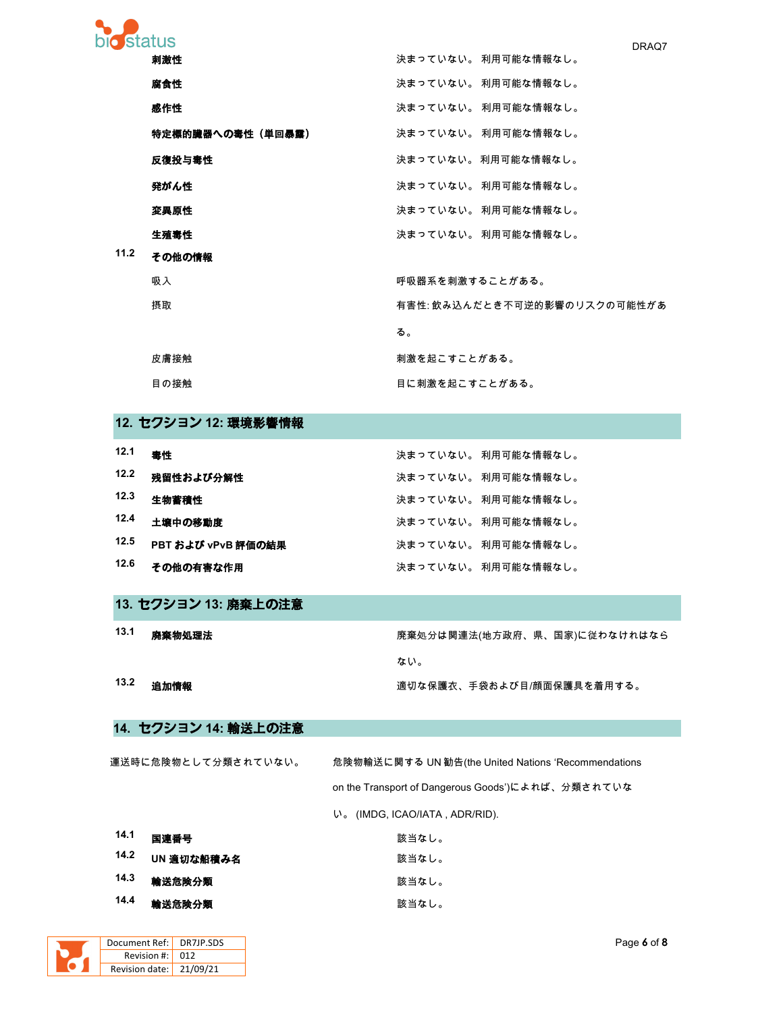| bio status |                                                                                                                                                                                                                                                                                                                                                                 | DRAQ7                        |
|------------|-----------------------------------------------------------------------------------------------------------------------------------------------------------------------------------------------------------------------------------------------------------------------------------------------------------------------------------------------------------------|------------------------------|
|            | 刺激性                                                                                                                                                                                                                                                                                                                                                             | 決まっていない。利用可能な情報なし。           |
|            | 腐食性                                                                                                                                                                                                                                                                                                                                                             | 決まっていない。 利用可能な情報なし。          |
|            | 感作性                                                                                                                                                                                                                                                                                                                                                             | 決まっていない。 利用可能な情報なし。          |
|            | 特定標的臓器への毒性(単回暴露)                                                                                                                                                                                                                                                                                                                                                | 決まっていない。 利用可能な情報なし。          |
|            | 反復投与毒性                                                                                                                                                                                                                                                                                                                                                          | 決まっていない。 利用可能な情報なし。          |
|            | 発がん性                                                                                                                                                                                                                                                                                                                                                            | 決まっていない。 利用可能な情報なし。          |
|            | 変異原性                                                                                                                                                                                                                                                                                                                                                            | 決まっていない。 利用可能な情報なし。          |
|            | 生殖毒性                                                                                                                                                                                                                                                                                                                                                            | 決まっていない。 利用可能な情報なし。          |
| 11.2       | その他の情報                                                                                                                                                                                                                                                                                                                                                          |                              |
|            | 吸入                                                                                                                                                                                                                                                                                                                                                              | 呼吸器系を刺激することがある。              |
|            | 摂取                                                                                                                                                                                                                                                                                                                                                              | 有害性: 飲み込んだとき不可逆的影響のリスクの可能性があ |
|            |                                                                                                                                                                                                                                                                                                                                                                 | る。                           |
|            | 皮膚接触                                                                                                                                                                                                                                                                                                                                                            | 刺激を起こすことがある。                 |
|            | 目の接触                                                                                                                                                                                                                                                                                                                                                            | 目に刺激を起こすことがある。               |
|            | $\overline{10}$ $\overline{10}$ $\overline{10}$ $\overline{10}$ $\overline{10}$ $\overline{10}$ $\overline{10}$ $\overline{10}$ $\overline{10}$ $\overline{10}$ $\overline{10}$ $\overline{10}$ $\overline{10}$ $\overline{10}$ $\overline{10}$ $\overline{10}$ $\overline{10}$ $\overline{10}$ $\overline{10}$ $\overline{10}$ $\overline{10}$ $\overline{10}$ |                              |

### **12.** セクション **12:** 環境影響情報

| 12.1 | 毒性                 | 決まっていない。 利用可能な情報なし。 |
|------|--------------------|---------------------|
| 12.2 | 残留性および分解性          | 決まっていない。 利用可能な情報なし。 |
| 12.3 | 生物蓄積性              | 決まっていない。 利用可能な情報なし。 |
| 12.4 | 土壌中の移動度            | 決まっていない。 利用可能な情報なし。 |
| 12.5 | PBT および vPvB 評価の結果 | 決まっていない。 利用可能な情報なし。 |
| 12.6 | その他の有害な作用          | 決まっていない。 利用可能な情報なし。 |

- **13.** セクション **13:** 廃棄上の注意
- **13.1** 廃棄物処理法 `a?tÅÀ`Ç(ÃÅÕŒ¸œ¸–m)~h°9…7Å96 ない。

13.2 追加情報 ファインのおよびのおよびのおよび目<sub>の</sub><br>通切な保護衣、手袋および目/顔面保護具を着用する。

## **14.** セクション **14:** 輸送上の注意

運送時に危険物として分類されていない。 危険物輸送に関する UN 勧告(the United Nations 'Recommendations on the Transport of Dangerous Goods')によれば、分類されていな

8: (IMDG, ICAO/IATA , ADR/RID).

| 14.1 | 国連番号       | 該当なし。 |
|------|------------|-------|
| 14.2 | UN 適切な船積み名 | 該当なし。 |
| 14.3 | 輸送危険分類     | 該当なし。 |
| 14.4 | 輸送危険分類     | 該当なし。 |

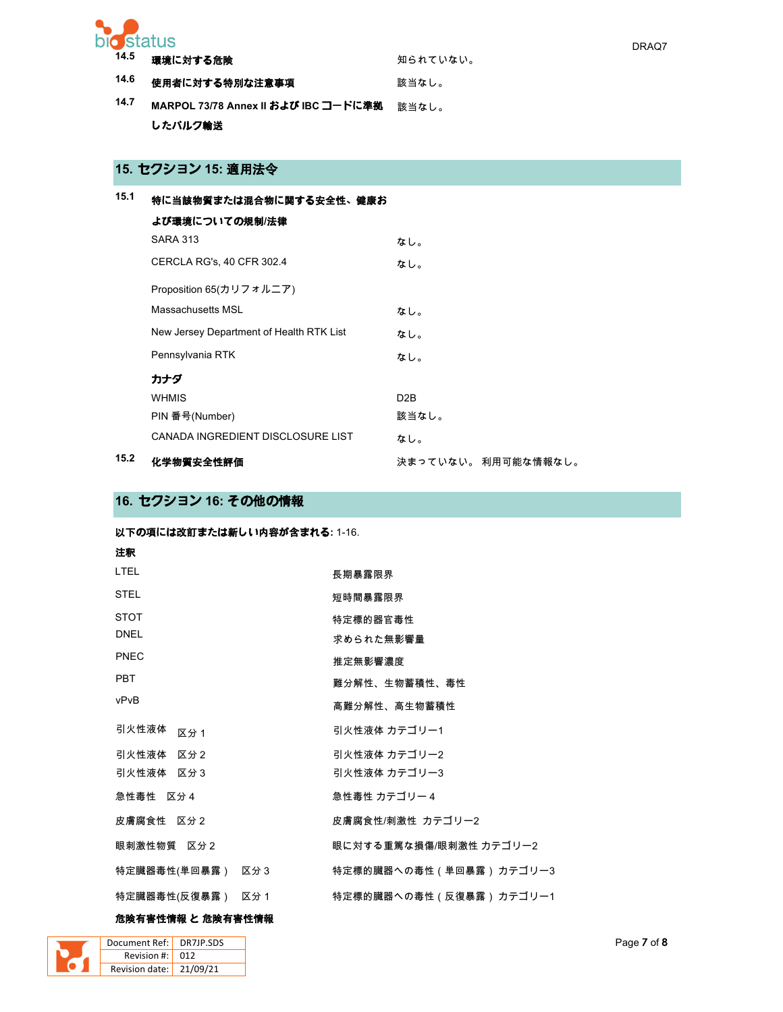

| 14.5 | 環境に対する危険                             | 知られていない。 |
|------|--------------------------------------|----------|
| 14.6 | 使用者に対する特別な注意事項                       | 該当なし。    |
| 14.7 | MARPOL 73/78 Annex II および IBC コードに準拠 | 該当なし。    |
|      | したバルク輸送                              |          |

# 15. セクション 15: 適用法令

| 15.1 | 特に当該物質または混合物に関する安全性、健康お                  |                     |
|------|------------------------------------------|---------------------|
|      | よび環境についての規制/法律                           |                     |
|      | <b>SARA 313</b>                          | なし。                 |
|      | CERCLA RG's, 40 CFR 302.4                | なし。                 |
|      | Proposition 65(カリフォルニア)                  |                     |
|      | Massachusetts MSL                        | なし。                 |
|      | New Jersey Department of Health RTK List | なし。                 |
|      | Pennsylvania RTK                         | なし。                 |
|      | カナダ                                      |                     |
|      | <b>WHMIS</b>                             | D <sub>2</sub> B    |
|      | PIN 番号(Number)                           | 該当なし。               |
|      | CANADA INGREDIENT DISCLOSURE LIST        | なし。                 |
| 15.2 | 化学物質安全性評価                                | 決まっていない。 利用可能な情報なし。 |

## 16. セクション 16: その他の情報

以下の項には改訂または新しい内容が含まれる: 1-16.

| 注釈               |                         |
|------------------|-------------------------|
| <b>LTEL</b>      | 長期暴露限界                  |
| <b>STEL</b>      | 短時間暴露限界                 |
| <b>STOT</b>      | 特定標的器官毒性                |
| <b>DNEL</b>      | 求められた無影響量               |
| PNEC             | 推定無影響濃度                 |
| <b>PBT</b>       | 難分解性、生物蓄積性、毒性           |
| vPvB             | 高難分解性、高生物蓄積性            |
| 引火性液体<br>区分 1    | 引火性液体 カテゴリー1            |
| 引火性液体 区分2        | 引火性液体 カテゴリー2            |
| 引火性液体 区分3        | 引火性液体 カテゴリー3            |
| 急性毒性 区分4         | 急性毒性 カテゴリー4             |
| 皮膚腐食性 区分2        | 皮膚腐食性/刺激性 カテゴリー2        |
| 眼刺激性物質 区分2       | 眼に対する重篤な損傷/眼刺激性 カテゴリー2  |
| 特定臓器毒性(単回暴露) 区分3 | 特定標的臓器への毒性(単回暴露) カテゴリー3 |
| 特定臓器毒性(反復暴露) 区分1 | 特定標的臓器への毒性(反復暴露) カテゴリー1 |

### 危険有害性情報 と 危険有害性情報

| Document Ref: DR7JP.SDS         |  |
|---------------------------------|--|
| Revision $\#$ : 012             |  |
| Revision date: $\vert$ 21/09/21 |  |